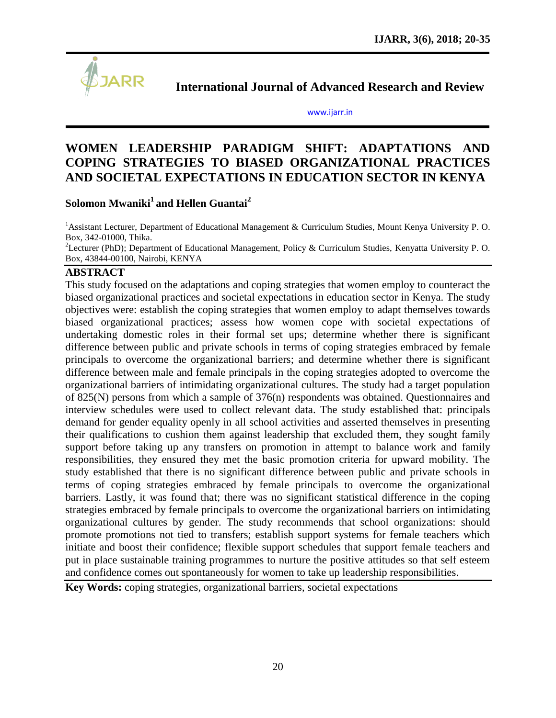

**International Journal of Advanced Research and Review**

[www.ijarr.in](http://www.ijarr.in/)

# **WOMEN LEADERSHIP PARADIGM SHIFT: ADAPTATIONS AND COPING STRATEGIES TO BIASED ORGANIZATIONAL PRACTICES AND SOCIETAL EXPECTATIONS IN EDUCATION SECTOR IN KENYA**

# **Solomon Mwaniki<sup>1</sup>and Hellen Guantai<sup>2</sup>**

<sup>1</sup>Assistant Lecturer, Department of Educational Management & Curriculum Studies, Mount Kenya University P. O. Box, 342-01000, Thika.

<sup>2</sup>Lecturer (PhD); Department of Educational Management, Policy & Curriculum Studies, Kenyatta University P. O. Box, 43844-00100, Nairobi, KENYA

# **ABSTRACT**

This study focused on the adaptations and coping strategies that women employ to counteract the biased organizational practices and societal expectations in education sector in Kenya. The study objectives were: establish the coping strategies that women employ to adapt themselves towards biased organizational practices; assess how women cope with societal expectations of undertaking domestic roles in their formal set ups; determine whether there is significant difference between public and private schools in terms of coping strategies embraced by female principals to overcome the organizational barriers; and determine whether there is significant difference between male and female principals in the coping strategies adopted to overcome the organizational barriers of intimidating organizational cultures. The study had a target population of 825(N) persons from which a sample of 376(n) respondents was obtained. Questionnaires and interview schedules were used to collect relevant data. The study established that: principals demand for gender equality openly in all school activities and asserted themselves in presenting their qualifications to cushion them against leadership that excluded them, they sought family support before taking up any transfers on promotion in attempt to balance work and family responsibilities, they ensured they met the basic promotion criteria for upward mobility. The study established that there is no significant difference between public and private schools in terms of coping strategies embraced by female principals to overcome the organizational barriers. Lastly, it was found that; there was no significant statistical difference in the coping strategies embraced by female principals to overcome the organizational barriers on intimidating organizational cultures by gender. The study recommends that school organizations: should promote promotions not tied to transfers; establish support systems for female teachers which initiate and boost their confidence; flexible support schedules that support female teachers and put in place sustainable training programmes to nurture the positive attitudes so that self esteem and confidence comes out spontaneously for women to take up leadership responsibilities.

**Key Words:** coping strategies, organizational barriers, societal expectations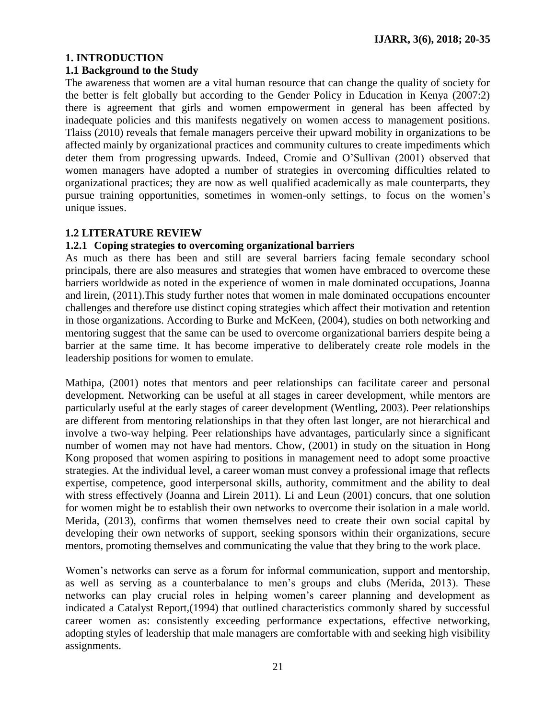# **1. INTRODUCTION**

#### **1.1 Background to the Study**

The awareness that women are a vital human resource that can change the quality of society for the better is felt globally but according to the Gender Policy in Education in Kenya (2007:2) there is agreement that girls and women empowerment in general has been affected by inadequate policies and this manifests negatively on women access to management positions. Tlaiss (2010) reveals that female managers perceive their upward mobility in organizations to be affected mainly by organizational practices and community cultures to create impediments which deter them from progressing upwards. Indeed, Cromie and O"Sullivan (2001) observed that women managers have adopted a number of strategies in overcoming difficulties related to organizational practices; they are now as well qualified academically as male counterparts, they pursue training opportunities, sometimes in women-only settings, to focus on the women"s unique issues.

### **1.2 LITERATURE REVIEW**

#### **1.2.1 Coping strategies to overcoming organizational barriers**

As much as there has been and still are several barriers facing female secondary school principals, there are also measures and strategies that women have embraced to overcome these barriers worldwide as noted in the experience of women in male dominated occupations, Joanna and lirein, (2011).This study further notes that women in male dominated occupations encounter challenges and therefore use distinct coping strategies which affect their motivation and retention in those organizations. According to Burke and McKeen, (2004), studies on both networking and mentoring suggest that the same can be used to overcome organizational barriers despite being a barrier at the same time. It has become imperative to deliberately create role models in the leadership positions for women to emulate.

Mathipa, (2001) notes that mentors and peer relationships can facilitate career and personal development. Networking can be useful at all stages in career development, while mentors are particularly useful at the early stages of career development (Wentling, 2003). Peer relationships are different from mentoring relationships in that they often last longer, are not hierarchical and involve a two-way helping. Peer relationships have advantages, particularly since a significant number of women may not have had mentors. Chow, (2001) in study on the situation in Hong Kong proposed that women aspiring to positions in management need to adopt some proactive strategies. At the individual level, a career woman must convey a professional image that reflects expertise, competence, good interpersonal skills, authority, commitment and the ability to deal with stress effectively (Joanna and Lirein 2011). Li and Leun (2001) concurs, that one solution for women might be to establish their own networks to overcome their isolation in a male world. Merida, (2013), confirms that women themselves need to create their own social capital by developing their own networks of support, seeking sponsors within their organizations, secure mentors, promoting themselves and communicating the value that they bring to the work place.

Women's networks can serve as a forum for informal communication, support and mentorship, as well as serving as a counterbalance to men"s groups and clubs (Merida, 2013). These networks can play crucial roles in helping women"s career planning and development as indicated a Catalyst Report,(1994) that outlined characteristics commonly shared by successful career women as: consistently exceeding performance expectations, effective networking, adopting styles of leadership that male managers are comfortable with and seeking high visibility assignments.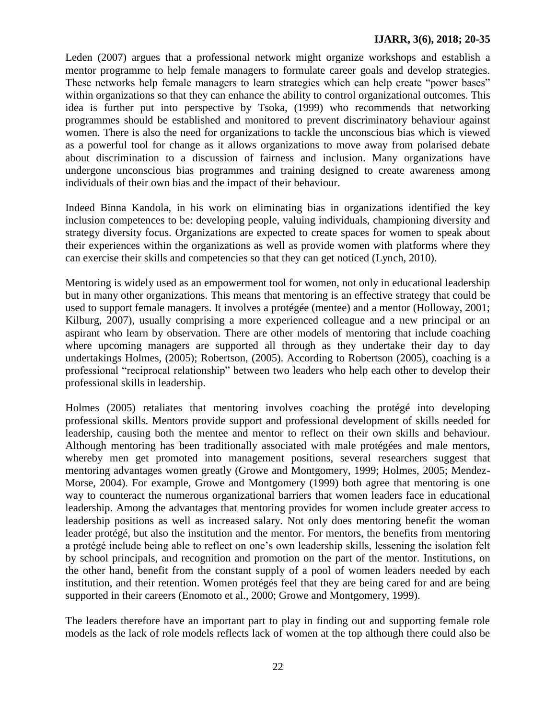### **IJARR, 3(6), 2018; 20-35**

Leden (2007) argues that a professional network might organize workshops and establish a mentor programme to help female managers to formulate career goals and develop strategies. These networks help female managers to learn strategies which can help create "power bases" within organizations so that they can enhance the ability to control organizational outcomes. This idea is further put into perspective by Tsoka, (1999) who recommends that networking programmes should be established and monitored to prevent discriminatory behaviour against women. There is also the need for organizations to tackle the unconscious bias which is viewed as a powerful tool for change as it allows organizations to move away from polarised debate about discrimination to a discussion of fairness and inclusion. Many organizations have undergone unconscious bias programmes and training designed to create awareness among individuals of their own bias and the impact of their behaviour.

Indeed Binna Kandola, in his work on eliminating bias in organizations identified the key inclusion competences to be: developing people, valuing individuals, championing diversity and strategy diversity focus. Organizations are expected to create spaces for women to speak about their experiences within the organizations as well as provide women with platforms where they can exercise their skills and competencies so that they can get noticed (Lynch, 2010).

Mentoring is widely used as an empowerment tool for women, not only in educational leadership but in many other organizations. This means that mentoring is an effective strategy that could be used to support female managers. It involves a protégée (mentee) and a mentor (Holloway, 2001; Kilburg, 2007), usually comprising a more experienced colleague and a new principal or an aspirant who learn by observation. There are other models of mentoring that include coaching where upcoming managers are supported all through as they undertake their day to day undertakings Holmes, (2005); Robertson, (2005). According to Robertson (2005), coaching is a professional "reciprocal relationship" between two leaders who help each other to develop their professional skills in leadership.

Holmes (2005) retaliates that mentoring involves coaching the protégé into developing professional skills. Mentors provide support and professional development of skills needed for leadership, causing both the mentee and mentor to reflect on their own skills and behaviour. Although mentoring has been traditionally associated with male protégées and male mentors, whereby men get promoted into management positions, several researchers suggest that mentoring advantages women greatly (Growe and Montgomery, 1999; Holmes, 2005; Mendez-Morse, 2004). For example, Growe and Montgomery (1999) both agree that mentoring is one way to counteract the numerous organizational barriers that women leaders face in educational leadership. Among the advantages that mentoring provides for women include greater access to leadership positions as well as increased salary. Not only does mentoring benefit the woman leader protégé, but also the institution and the mentor. For mentors, the benefits from mentoring a protégé include being able to reflect on one"s own leadership skills, lessening the isolation felt by school principals, and recognition and promotion on the part of the mentor. Institutions, on the other hand, benefit from the constant supply of a pool of women leaders needed by each institution, and their retention. Women protégés feel that they are being cared for and are being supported in their careers (Enomoto et al., 2000; Growe and Montgomery, 1999).

The leaders therefore have an important part to play in finding out and supporting female role models as the lack of role models reflects lack of women at the top although there could also be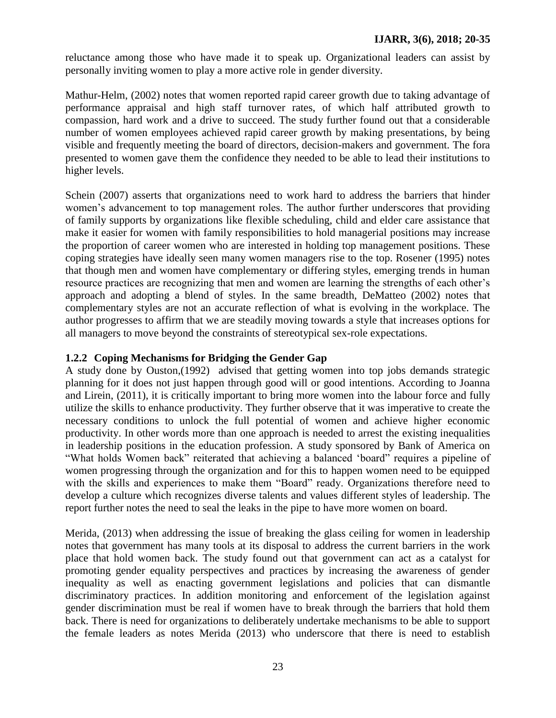reluctance among those who have made it to speak up. Organizational leaders can assist by personally inviting women to play a more active role in gender diversity.

Mathur-Helm, (2002) notes that women reported rapid career growth due to taking advantage of performance appraisal and high staff turnover rates, of which half attributed growth to compassion, hard work and a drive to succeed. The study further found out that a considerable number of women employees achieved rapid career growth by making presentations, by being visible and frequently meeting the board of directors, decision-makers and government. The fora presented to women gave them the confidence they needed to be able to lead their institutions to higher levels.

Schein (2007) asserts that organizations need to work hard to address the barriers that hinder women's advancement to top management roles. The author further underscores that providing of family supports by organizations like flexible scheduling, child and elder care assistance that make it easier for women with family responsibilities to hold managerial positions may increase the proportion of career women who are interested in holding top management positions. These coping strategies have ideally seen many women managers rise to the top. Rosener (1995) notes that though men and women have complementary or differing styles, emerging trends in human resource practices are recognizing that men and women are learning the strengths of each other"s approach and adopting a blend of styles. In the same breadth, DeMatteo (2002) notes that complementary styles are not an accurate reflection of what is evolving in the workplace. The author progresses to affirm that we are steadily moving towards a style that increases options for all managers to move beyond the constraints of stereotypical sex-role expectations.

# **1.2.2 Coping Mechanisms for Bridging the Gender Gap**

A study done by Ouston,(1992) advised that getting women into top jobs demands strategic planning for it does not just happen through good will or good intentions. According to Joanna and Lirein, (2011), it is critically important to bring more women into the labour force and fully utilize the skills to enhance productivity. They further observe that it was imperative to create the necessary conditions to unlock the full potential of women and achieve higher economic productivity. In other words more than one approach is needed to arrest the existing inequalities in leadership positions in the education profession. A study sponsored by Bank of America on "What holds Women back" reiterated that achieving a balanced "board" requires a pipeline of women progressing through the organization and for this to happen women need to be equipped with the skills and experiences to make them "Board" ready. Organizations therefore need to develop a culture which recognizes diverse talents and values different styles of leadership. The report further notes the need to seal the leaks in the pipe to have more women on board.

Merida, (2013) when addressing the issue of breaking the glass ceiling for women in leadership notes that government has many tools at its disposal to address the current barriers in the work place that hold women back. The study found out that government can act as a catalyst for promoting gender equality perspectives and practices by increasing the awareness of gender inequality as well as enacting government legislations and policies that can dismantle discriminatory practices. In addition monitoring and enforcement of the legislation against gender discrimination must be real if women have to break through the barriers that hold them back. There is need for organizations to deliberately undertake mechanisms to be able to support the female leaders as notes Merida (2013) who underscore that there is need to establish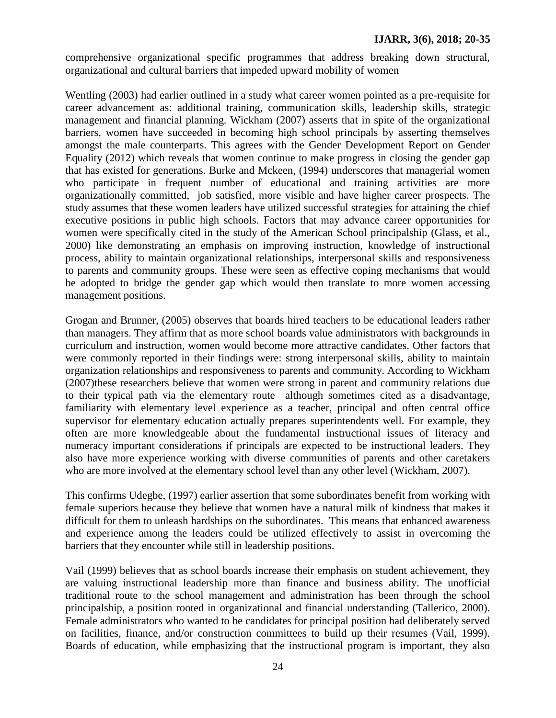comprehensive organizational specific programmes that address breaking down structural, organizational and cultural barriers that impeded upward mobility of women

Wentling (2003) had earlier outlined in a study what career women pointed as a pre-requisite for career advancement as: additional training, communication skills, leadership skills, strategic management and financial planning. Wickham (2007) asserts that in spite of the organizational barriers, women have succeeded in becoming high school principals by asserting themselves amongst the male counterparts. This agrees with the Gender Development Report on Gender Equality (2012) which reveals that women continue to make progress in closing the gender gap that has existed for generations. Burke and Mckeen, (1994) underscores that managerial women who participate in frequent number of educational and training activities are more organizationally committed, job satisfied, more visible and have higher career prospects. The study assumes that these women leaders have utilized successful strategies for attaining the chief executive positions in public high schools. Factors that may advance career opportunities for women were specifically cited in the study of the American School principalship (Glass, et al., 2000) like demonstrating an emphasis on improving instruction, knowledge of instructional process, ability to maintain organizational relationships, interpersonal skills and responsiveness to parents and community groups. These were seen as effective coping mechanisms that would be adopted to bridge the gender gap which would then translate to more women accessing management positions.

Grogan and Brunner, (2005) observes that boards hired teachers to be educational leaders rather than managers. They affirm that as more school boards value administrators with backgrounds in curriculum and instruction, women would become more attractive candidates. Other factors that were commonly reported in their findings were: strong interpersonal skills, ability to maintain organization relationships and responsiveness to parents and community. According to Wickham (2007)these researchers believe that women were strong in parent and community relations due to their typical path via the elementary route although sometimes cited as a disadvantage, familiarity with elementary level experience as a teacher, principal and often central office supervisor for elementary education actually prepares superintendents well. For example, they often are more knowledgeable about the fundamental instructional issues of literacy and numeracy important considerations if principals are expected to be instructional leaders. They also have more experience working with diverse communities of parents and other caretakers who are more involved at the elementary school level than any other level (Wickham, 2007).

This confirms Udegbe, (1997) earlier assertion that some subordinates benefit from working with female superiors because they believe that women have a natural milk of kindness that makes it difficult for them to unleash hardships on the subordinates. This means that enhanced awareness and experience among the leaders could be utilized effectively to assist in overcoming the barriers that they encounter while still in leadership positions.

Vail (1999) believes that as school boards increase their emphasis on student achievement, they are valuing instructional leadership more than finance and business ability. The unofficial traditional route to the school management and administration has been through the school principalship, a position rooted in organizational and financial understanding (Tallerico, 2000). Female administrators who wanted to be candidates for principal position had deliberately served on facilities, finance, and/or construction committees to build up their resumes (Vail, 1999). Boards of education, while emphasizing that the instructional program is important, they also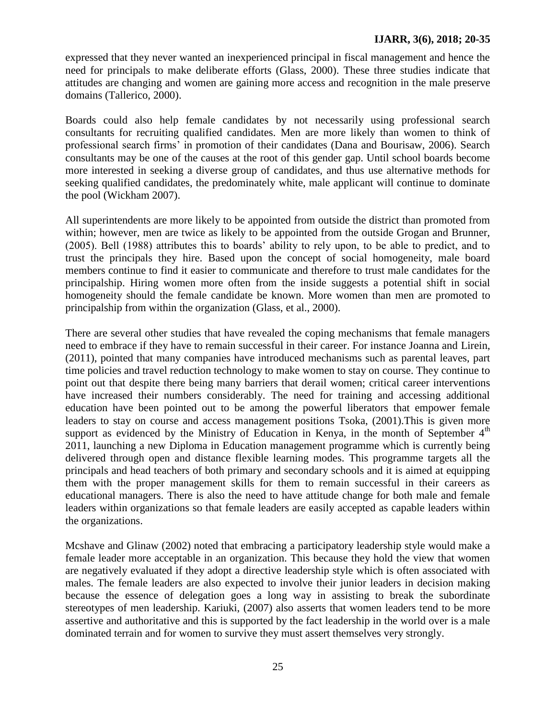expressed that they never wanted an inexperienced principal in fiscal management and hence the need for principals to make deliberate efforts (Glass, 2000). These three studies indicate that attitudes are changing and women are gaining more access and recognition in the male preserve domains (Tallerico, 2000).

Boards could also help female candidates by not necessarily using professional search consultants for recruiting qualified candidates. Men are more likely than women to think of professional search firms" in promotion of their candidates (Dana and Bourisaw, 2006). Search consultants may be one of the causes at the root of this gender gap. Until school boards become more interested in seeking a diverse group of candidates, and thus use alternative methods for seeking qualified candidates, the predominately white, male applicant will continue to dominate the pool (Wickham 2007).

All superintendents are more likely to be appointed from outside the district than promoted from within; however, men are twice as likely to be appointed from the outside Grogan and Brunner, (2005). Bell (1988) attributes this to boards" ability to rely upon, to be able to predict, and to trust the principals they hire. Based upon the concept of social homogeneity, male board members continue to find it easier to communicate and therefore to trust male candidates for the principalship. Hiring women more often from the inside suggests a potential shift in social homogeneity should the female candidate be known. More women than men are promoted to principalship from within the organization (Glass, et al., 2000).

There are several other studies that have revealed the coping mechanisms that female managers need to embrace if they have to remain successful in their career. For instance Joanna and Lirein, (2011), pointed that many companies have introduced mechanisms such as parental leaves, part time policies and travel reduction technology to make women to stay on course. They continue to point out that despite there being many barriers that derail women; critical career interventions have increased their numbers considerably. The need for training and accessing additional education have been pointed out to be among the powerful liberators that empower female leaders to stay on course and access management positions Tsoka, (2001).This is given more support as evidenced by the Ministry of Education in Kenya, in the month of September  $4<sup>th</sup>$ 2011, launching a new Diploma in Education management programme which is currently being delivered through open and distance flexible learning modes. This programme targets all the principals and head teachers of both primary and secondary schools and it is aimed at equipping them with the proper management skills for them to remain successful in their careers as educational managers. There is also the need to have attitude change for both male and female leaders within organizations so that female leaders are easily accepted as capable leaders within the organizations.

Mcshave and Glinaw (2002) noted that embracing a participatory leadership style would make a female leader more acceptable in an organization. This because they hold the view that women are negatively evaluated if they adopt a directive leadership style which is often associated with males. The female leaders are also expected to involve their junior leaders in decision making because the essence of delegation goes a long way in assisting to break the subordinate stereotypes of men leadership. Kariuki, (2007) also asserts that women leaders tend to be more assertive and authoritative and this is supported by the fact leadership in the world over is a male dominated terrain and for women to survive they must assert themselves very strongly.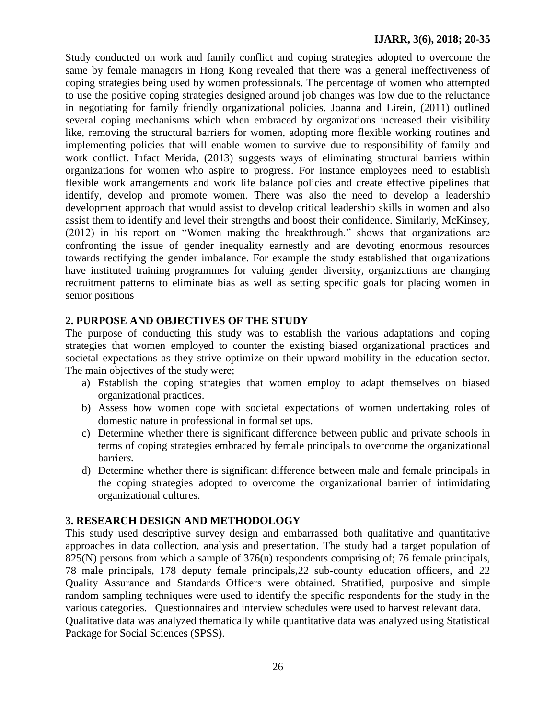Study conducted on work and family conflict and coping strategies adopted to overcome the same by female managers in Hong Kong revealed that there was a general ineffectiveness of coping strategies being used by women professionals. The percentage of women who attempted to use the positive coping strategies designed around job changes was low due to the reluctance in negotiating for family friendly organizational policies. Joanna and Lirein, (2011) outlined several coping mechanisms which when embraced by organizations increased their visibility like, removing the structural barriers for women, adopting more flexible working routines and implementing policies that will enable women to survive due to responsibility of family and work conflict. Infact Merida, (2013) suggests ways of eliminating structural barriers within organizations for women who aspire to progress. For instance employees need to establish flexible work arrangements and work life balance policies and create effective pipelines that identify, develop and promote women. There was also the need to develop a leadership development approach that would assist to develop critical leadership skills in women and also assist them to identify and level their strengths and boost their confidence. Similarly, McKinsey, (2012) in his report on "Women making the breakthrough." shows that organizations are confronting the issue of gender inequality earnestly and are devoting enormous resources towards rectifying the gender imbalance. For example the study established that organizations have instituted training programmes for valuing gender diversity, organizations are changing recruitment patterns to eliminate bias as well as setting specific goals for placing women in senior positions

### **2. PURPOSE AND OBJECTIVES OF THE STUDY**

The purpose of conducting this study was to establish the various adaptations and coping strategies that women employed to counter the existing biased organizational practices and societal expectations as they strive optimize on their upward mobility in the education sector. The main objectives of the study were;

- a) Establish the coping strategies that women employ to adapt themselves on biased organizational practices.
- b) Assess how women cope with societal expectations of women undertaking roles of domestic nature in professional in formal set ups.
- c) Determine whether there is significant difference between public and private schools in terms of coping strategies embraced by female principals to overcome the organizational barrier*s.*
- d) Determine whether there is significant difference between male and female principals in the coping strategies adopted to overcome the organizational barrier of intimidating organizational cultures.

### **3. RESEARCH DESIGN AND METHODOLOGY**

This study used descriptive survey design and embarrassed both qualitative and quantitative approaches in data collection, analysis and presentation. The study had a target population of 825(N) persons from which a sample of 376(n) respondents comprising of; 76 female principals, 78 male principals, 178 deputy female principals,22 sub-county education officers, and 22 Quality Assurance and Standards Officers were obtained. Stratified, purposive and simple random sampling techniques were used to identify the specific respondents for the study in the various categories. Questionnaires and interview schedules were used to harvest relevant data. Qualitative data was analyzed thematically while quantitative data was analyzed using Statistical Package for Social Sciences (SPSS).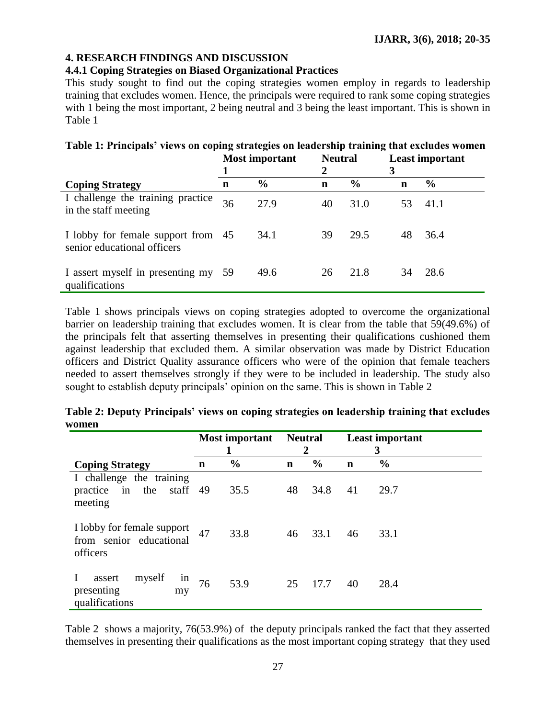# **4. RESEARCH FINDINGS AND DISCUSSION**

# **4.4.1 Coping Strategies on Biased Organizational Practices**

This study sought to find out the coping strategies women employ in regards to leadership training that excludes women. Hence, the principals were required to rank some coping strategies with 1 being the most important, 2 being neutral and 3 being the least important. This is shown in Table 1

| Table 1: Principals' views on coping strategies on leadership training that excludes women |                       |               |                     |               |    |                        |  |  |  |  |
|--------------------------------------------------------------------------------------------|-----------------------|---------------|---------------------|---------------|----|------------------------|--|--|--|--|
|                                                                                            | <b>Most important</b> |               | <b>Neutral</b><br>2 |               | 3  | <b>Least important</b> |  |  |  |  |
| <b>Coping Strategy</b>                                                                     | n                     | $\frac{0}{0}$ | n                   | $\frac{0}{0}$ | n  | $\frac{0}{0}$          |  |  |  |  |
| I challenge the training practice<br>in the staff meeting                                  | 36                    | 27.9          | 40                  | 31.0          | 53 | 41.1                   |  |  |  |  |
| I lobby for female support from 45<br>senior educational officers                          |                       | 34.1          | 39                  | 29.5          | 48 | 36.4                   |  |  |  |  |
| I assert myself in presenting my 59<br>qualifications                                      |                       | 49.6          | 26                  | 21.8          | 34 | 28.6                   |  |  |  |  |

Table 1 shows principals views on coping strategies adopted to overcome the organizational barrier on leadership training that excludes women. It is clear from the table that 59(49.6%) of the principals felt that asserting themselves in presenting their qualifications cushioned them against leadership that excluded them. A similar observation was made by District Education officers and District Quality assurance officers who were of the opinion that female teachers needed to assert themselves strongly if they were to be included in leadership. The study also sought to establish deputy principals' opinion on the same. This is shown in Table 2

|                                                                    | Most important<br>1 |               | <b>Neutral</b><br>2 |               |             | <b>Least important</b><br>3 |
|--------------------------------------------------------------------|---------------------|---------------|---------------------|---------------|-------------|-----------------------------|
| <b>Coping Strategy</b>                                             | $\mathbf n$         | $\frac{0}{0}$ | $\mathbf n$         | $\frac{6}{9}$ | $\mathbf n$ | $\frac{0}{0}$               |
| I challenge the training<br>practice in the<br>staff 49<br>meeting |                     | 35.5          | 48                  | 34.8          | 41          | 29.7                        |
| I lobby for female support<br>from senior educational<br>officers  | 47                  | 33.8          | 46                  | 33.1          | 46          | 33.1                        |
| myself<br>assert<br>1n<br>presenting<br>my<br>qualifications       | 76                  | 53.9          | 25                  | 17.7          | 40          | 28.4                        |

|       | Table 2: Deputy Principals' views on coping strategies on leadership training that excludes |  |
|-------|---------------------------------------------------------------------------------------------|--|
| women |                                                                                             |  |

Table 2 shows a majority, 76(53.9%) of the deputy principals ranked the fact that they asserted themselves in presenting their qualifications as the most important coping strategy that they used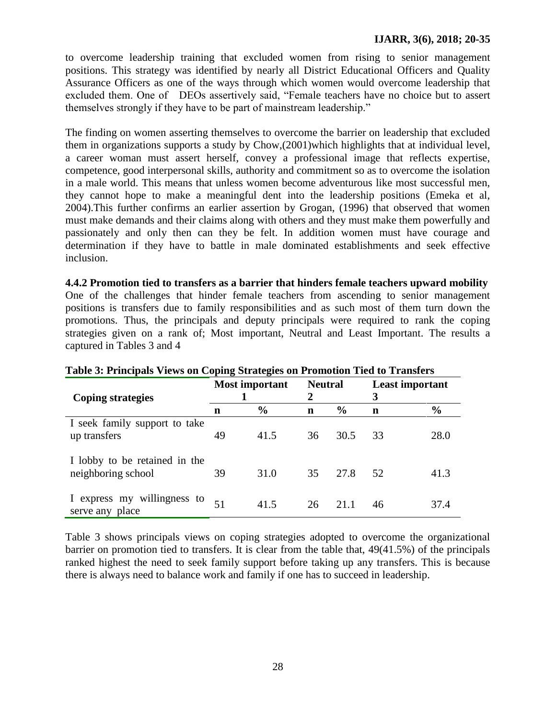to overcome leadership training that excluded women from rising to senior management positions. This strategy was identified by nearly all District Educational Officers and Quality Assurance Officers as one of the ways through which women would overcome leadership that excluded them. One of DEOs assertively said, "Female teachers have no choice but to assert themselves strongly if they have to be part of mainstream leadership."

The finding on women asserting themselves to overcome the barrier on leadership that excluded them in organizations supports a study by Chow,(2001)which highlights that at individual level, a career woman must assert herself, convey a professional image that reflects expertise, competence, good interpersonal skills, authority and commitment so as to overcome the isolation in a male world. This means that unless women become adventurous like most successful men, they cannot hope to make a meaningful dent into the leadership positions (Emeka et al, 2004).This further confirms an earlier assertion by Grogan, (1996) that observed that women must make demands and their claims along with others and they must make them powerfully and passionately and only then can they be felt. In addition women must have courage and determination if they have to battle in male dominated establishments and seek effective inclusion.

**4.4.2 Promotion tied to transfers as a barrier that hinders female teachers upward mobility** One of the challenges that hinder female teachers from ascending to senior management positions is transfers due to family responsibilities and as such most of them turn down the promotions. Thus, the principals and deputy principals were required to rank the coping strategies given on a rank of; Most important, Neutral and Least Important. The results a captured in Tables 3 and 4

| <b>Coping strategies</b>                            | <b>Most important</b> |               | <b>Neutral</b><br>2 |               | <b>Least important</b><br>3 |               |
|-----------------------------------------------------|-----------------------|---------------|---------------------|---------------|-----------------------------|---------------|
|                                                     | n                     | $\frac{6}{6}$ | n                   | $\frac{6}{9}$ | n                           | $\frac{0}{0}$ |
| I seek family support to take<br>up transfers       | 49                    | 41.5          | 36                  | 30.5          | 33                          | 28.0          |
| I lobby to be retained in the<br>neighboring school | 39                    | 31.0          | 35                  | 27.8          | -52.                        | 41.3          |
| I express my willingness to<br>serve any place      |                       | 41.5          | 26                  |               | 46                          | 37.4          |

# **Table 3: Principals Views on Coping Strategies on Promotion Tied to Transfers**

Table 3 shows principals views on coping strategies adopted to overcome the organizational barrier on promotion tied to transfers. It is clear from the table that, 49(41.5%) of the principals ranked highest the need to seek family support before taking up any transfers. This is because there is always need to balance work and family if one has to succeed in leadership.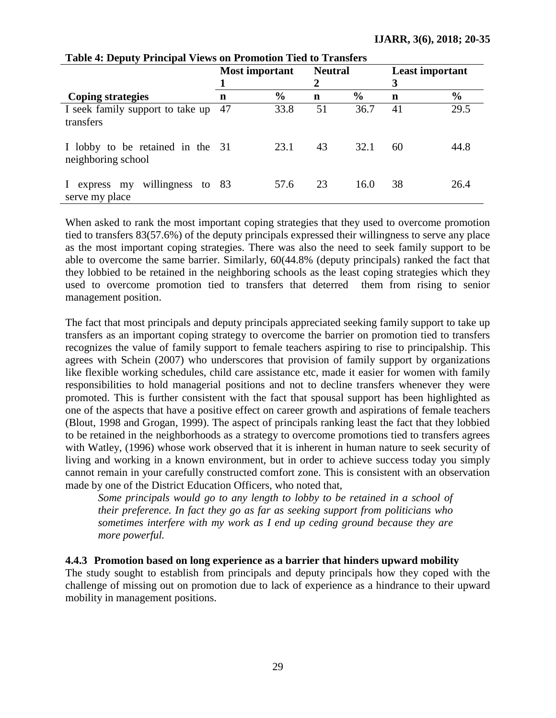|                                                        | Most important |               | <b>Neutral</b><br>$\mathbf{2}$ |               | <b>Least important</b><br>3 |               |
|--------------------------------------------------------|----------------|---------------|--------------------------------|---------------|-----------------------------|---------------|
| <b>Coping strategies</b>                               | $\mathbf n$    | $\frac{6}{6}$ | $\mathbf n$                    | $\frac{6}{6}$ | n                           | $\frac{6}{6}$ |
| I seek family support to take up<br>transfers          | 47             | 33.8          | 51                             | 36.7          | 41                          | 29.5          |
| I lobby to be retained in the 31<br>neighboring school |                | 23.1          | 43                             | 32.1          | 60                          | 44.8          |
| willingness to 83<br>express my<br>serve my place      |                | 57.6          | 23                             | 16.0          | 38                          | 26.4          |

#### **Table 4: Deputy Principal Views on Promotion Tied to Transfers**

When asked to rank the most important coping strategies that they used to overcome promotion tied to transfers 83(57.6%) of the deputy principals expressed their willingness to serve any place as the most important coping strategies. There was also the need to seek family support to be able to overcome the same barrier. Similarly, 60(44.8% (deputy principals) ranked the fact that they lobbied to be retained in the neighboring schools as the least coping strategies which they used to overcome promotion tied to transfers that deterred them from rising to senior management position.

The fact that most principals and deputy principals appreciated seeking family support to take up transfers as an important coping strategy to overcome the barrier on promotion tied to transfers recognizes the value of family support to female teachers aspiring to rise to principalship. This agrees with Schein (2007) who underscores that provision of family support by organizations like flexible working schedules, child care assistance etc, made it easier for women with family responsibilities to hold managerial positions and not to decline transfers whenever they were promoted. This is further consistent with the fact that spousal support has been highlighted as one of the aspects that have a positive effect on career growth and aspirations of female teachers (Blout, 1998 and Grogan, 1999). The aspect of principals ranking least the fact that they lobbied to be retained in the neighborhoods as a strategy to overcome promotions tied to transfers agrees with Watley, (1996) whose work observed that it is inherent in human nature to seek security of living and working in a known environment, but in order to achieve success today you simply cannot remain in your carefully constructed comfort zone. This is consistent with an observation made by one of the District Education Officers, who noted that,

*Some principals would go to any length to lobby to be retained in a school of their preference. In fact they go as far as seeking support from politicians who sometimes interfere with my work as I end up ceding ground because they are more powerful.*

**4.4.3 Promotion based on long experience as a barrier that hinders upward mobility** The study sought to establish from principals and deputy principals how they coped with the challenge of missing out on promotion due to lack of experience as a hindrance to their upward mobility in management positions.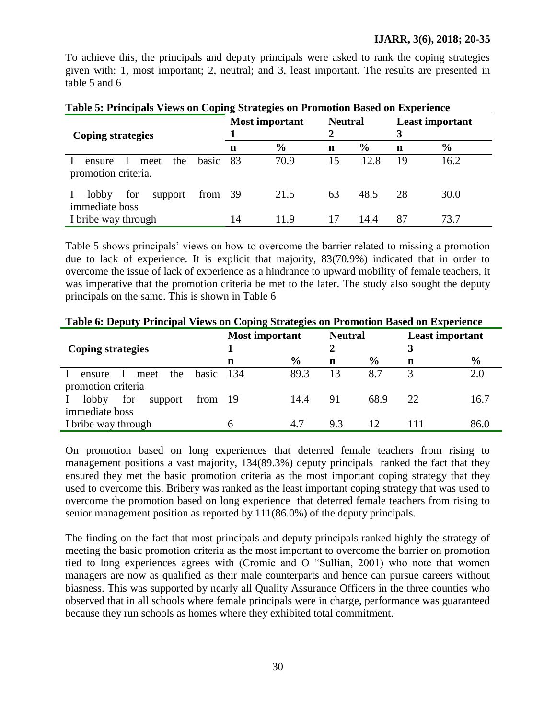To achieve this, the principals and deputy principals were asked to rank the coping strategies given with: 1, most important; 2, neutral; and 3, least important. The results are presented in table 5 and 6

| <b>Coping strategies</b>                                              |    | <b>Most important</b> | <b>Neutral</b><br>2 |               | 3  | <b>Least important</b> |
|-----------------------------------------------------------------------|----|-----------------------|---------------------|---------------|----|------------------------|
|                                                                       | n  | $\frac{6}{6}$         | $\mathbf n$         | $\frac{0}{0}$ | n  | $\frac{6}{6}$          |
| the<br>basic<br>meet<br>$\mathbf{I}$<br>ensure<br>promotion criteria. | 83 | 70.9                  | 15                  | 12.8          | 19 | 16.2                   |
| lobby<br>for<br>from $39$<br>support<br>immediate boss                |    | 21.5                  | 63                  | 48.5          | 28 | 30.0                   |
| I bribe way through                                                   | 14 | 11.9                  |                     | 14.4          | 87 | 73.7                   |

| Table 5: Principals Views on Coping Strategies on Promotion Based on Experience |  |  |  |
|---------------------------------------------------------------------------------|--|--|--|
|                                                                                 |  |  |  |

Table 5 shows principals" views on how to overcome the barrier related to missing a promotion due to lack of experience. It is explicit that majority, 83(70.9%) indicated that in order to overcome the issue of lack of experience as a hindrance to upward mobility of female teachers, it was imperative that the promotion criteria be met to the later. The study also sought the deputy principals on the same. This is shown in Table 6

|                                                  | <b>Most important</b> |               | <b>Neutral</b> |               | <b>Least important</b> |               |  |  |  |  |
|--------------------------------------------------|-----------------------|---------------|----------------|---------------|------------------------|---------------|--|--|--|--|
| <b>Coping strategies</b>                         |                       |               |                |               |                        |               |  |  |  |  |
|                                                  | n                     | $\frac{6}{6}$ | n              | $\frac{6}{9}$ | n                      | $\frac{6}{9}$ |  |  |  |  |
| basic<br>the<br>meet<br>ensure<br>$\blacksquare$ | -134                  | 89.3          | 13             | 8.7           |                        | 2.0           |  |  |  |  |
| promotion criteria                               |                       |               |                |               |                        |               |  |  |  |  |
| lobby<br>for<br>from 19<br>support               |                       | 14.4          | 91             | 68.9          | 22                     | 16.7          |  |  |  |  |
| immediate boss                                   |                       |               |                |               |                        |               |  |  |  |  |
| I bribe way through                              | h                     | 4.7           | 9.3            | 12            | 111                    | 86.0          |  |  |  |  |

**Table 6: Deputy Principal Views on Coping Strategies on Promotion Based on Experience**

On promotion based on long experiences that deterred female teachers from rising to management positions a vast majority, 134(89.3%) deputy principals ranked the fact that they ensured they met the basic promotion criteria as the most important coping strategy that they used to overcome this. Bribery was ranked as the least important coping strategy that was used to overcome the promotion based on long experience that deterred female teachers from rising to senior management position as reported by 111(86.0%) of the deputy principals.

The finding on the fact that most principals and deputy principals ranked highly the strategy of meeting the basic promotion criteria as the most important to overcome the barrier on promotion tied to long experiences agrees with (Cromie and O "Sullian, 2001) who note that women managers are now as qualified as their male counterparts and hence can pursue careers without biasness. This was supported by nearly all Quality Assurance Officers in the three counties who observed that in all schools where female principals were in charge, performance was guaranteed because they run schools as homes where they exhibited total commitment.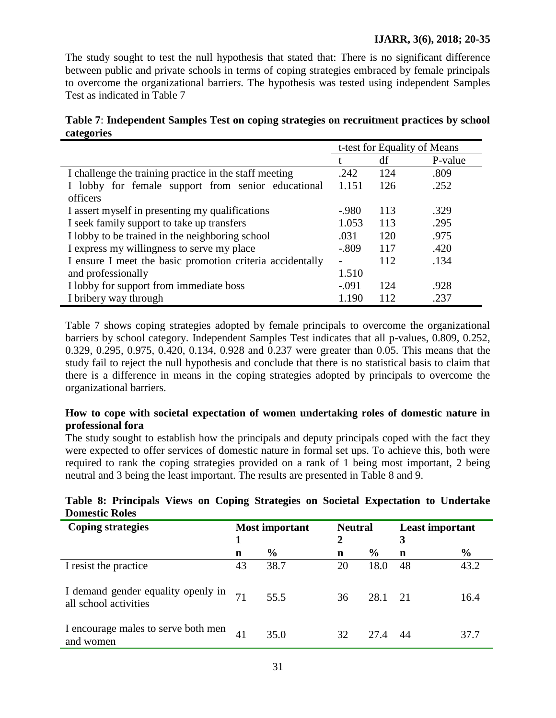The study sought to test the null hypothesis that stated that: There is no significant difference between public and private schools in terms of coping strategies embraced by female principals to overcome the organizational barrier*s.* The hypothesis was tested using independent Samples Test as indicated in Table 7

| Table 7: Independent Samples Test on coping strategies on recruitment practices by school |  |
|-------------------------------------------------------------------------------------------|--|
| categories                                                                                |  |

|                                                           |         |     | t-test for Equality of Means |
|-----------------------------------------------------------|---------|-----|------------------------------|
|                                                           |         | df  | P-value                      |
| I challenge the training practice in the staff meeting    | .242    | 124 | .809                         |
| I lobby for female support from senior educational        | 1.151   | 126 | .252                         |
| officers                                                  |         |     |                              |
| I assert myself in presenting my qualifications           | $-980$  | 113 | .329                         |
| I seek family support to take up transfers                | 1.053   | 113 | .295                         |
| I lobby to be trained in the neighboring school           | .031    | 120 | .975                         |
| I express my willingness to serve my place                | $-.809$ | 117 | .420                         |
| I ensure I meet the basic promotion criteria accidentally |         | 112 | .134                         |
| and professionally                                        | 1.510   |     |                              |
| I lobby for support from immediate boss                   | $-.091$ | 124 | .928                         |
| I bribery way through                                     | 1.190   | 112 | .237                         |

Table 7 shows coping strategies adopted by female principals to overcome the organizational barriers by school category. Independent Samples Test indicates that all p-values, 0.809, 0.252, 0.329, 0.295, 0.975, 0.420, 0.134, 0.928 and 0.237 were greater than 0.05. This means that the study fail to reject the null hypothesis and conclude that there is no statistical basis to claim that there is a difference in means in the coping strategies adopted by principals to overcome the organizational barriers.

# **How to cope with societal expectation of women undertaking roles of domestic nature in professional fora**

The study sought to establish how the principals and deputy principals coped with the fact they were expected to offer services of domestic nature in formal set ups. To achieve this, both were required to rank the coping strategies provided on a rank of 1 being most important, 2 being neutral and 3 being the least important. The results are presented in Table 8 and 9.

|                       |  |  |  | Table 8: Principals Views on Coping Strategies on Societal Expectation to Undertake |  |
|-----------------------|--|--|--|-------------------------------------------------------------------------------------|--|
| <b>Domestic Roles</b> |  |  |  |                                                                                     |  |

| <b>Coping strategies</b>                                    | <b>Most important</b> |               | <b>Neutral</b> |               | <b>Least important</b> |               |
|-------------------------------------------------------------|-----------------------|---------------|----------------|---------------|------------------------|---------------|
|                                                             |                       |               | 2              |               |                        |               |
|                                                             | $\mathbf n$           | $\frac{0}{0}$ | n              | $\frac{6}{6}$ | n                      | $\frac{6}{6}$ |
| I resist the practice                                       | 43                    | 38.7          | 20             | 18.0          | 48                     | 43.2          |
| I demand gender equality openly in<br>all school activities |                       | 55.5          | 36             | 28.1 21       |                        | 16.4          |
| I encourage males to serve both men<br>and women            | 41                    | 35.0          | 32             | 27.4          | 44                     | 37.7          |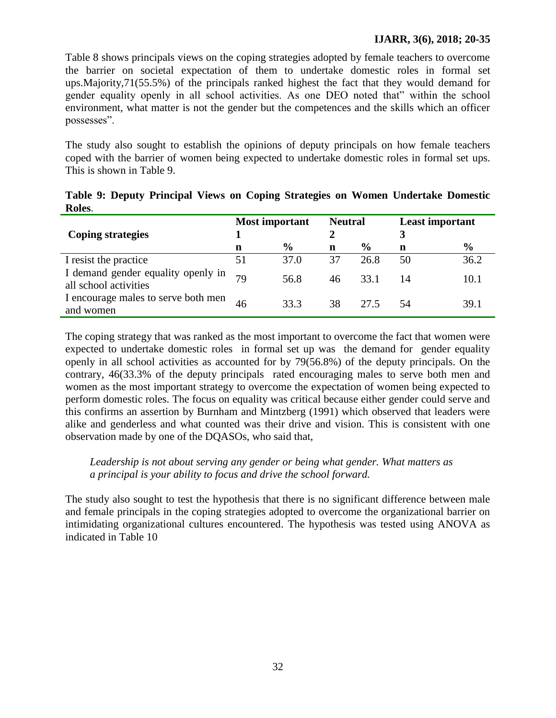### **IJARR, 3(6), 2018; 20-35**

Table 8 shows principals views on the coping strategies adopted by female teachers to overcome the barrier on societal expectation of them to undertake domestic roles in formal set ups.Majority,71(55.5%) of the principals ranked highest the fact that they would demand for gender equality openly in all school activities. As one DEO noted that" within the school environment, what matter is not the gender but the competences and the skills which an officer possesses".

The study also sought to establish the opinions of deputy principals on how female teachers coped with the barrier of women being expected to undertake domestic roles in formal set ups. This is shown in Table 9.

|                                                             | <b>Most important</b> |               | <b>Neutral</b> |               | <b>Least important</b> |               |
|-------------------------------------------------------------|-----------------------|---------------|----------------|---------------|------------------------|---------------|
| <b>Coping strategies</b>                                    |                       |               |                |               | 3                      |               |
|                                                             | n                     | $\frac{0}{0}$ | $\mathbf n$    | $\frac{0}{0}$ | n                      | $\frac{6}{9}$ |
| I resist the practice                                       | 51                    | 37.0          | 37             | 26.8          | 50                     | 36.2          |
| I demand gender equality openly in<br>all school activities |                       | 56.8          | 46             | 33.1          | 14                     | 10.1          |
| I encourage males to serve both men<br>and women            | 46                    | 33.3          | 38             | 27.5          | 54                     | 39.1          |

**Table 9: Deputy Principal Views on Coping Strategies on Women Undertake Domestic Roles.**

The coping strategy that was ranked as the most important to overcome the fact that women were expected to undertake domestic roles in formal set up was the demand for gender equality openly in all school activities as accounted for by 79(56.8%) of the deputy principals. On the contrary, 46(33.3% of the deputy principals rated encouraging males to serve both men and women as the most important strategy to overcome the expectation of women being expected to perform domestic roles. The focus on equality was critical because either gender could serve and this confirms an assertion by Burnham and Mintzberg (1991) which observed that leaders were alike and genderless and what counted was their drive and vision. This is consistent with one observation made by one of the DQASOs, who said that,

# *Leadership is not about serving any gender or being what gender. What matters as a principal is your ability to focus and drive the school forward.*

The study also sought to test the hypothesis that there is no significant difference between male and female principals in the coping strategies adopted to overcome the organizational barrier on intimidating organizational cultures encountered. The hypothesis was tested using ANOVA as indicated in Table 10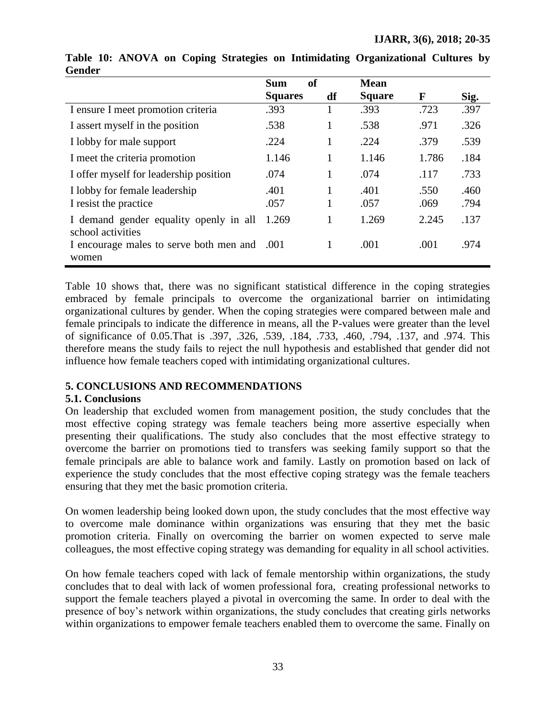|                                                             | of<br><b>Sum</b> |                   | <b>Mean</b>   |              |              |
|-------------------------------------------------------------|------------------|-------------------|---------------|--------------|--------------|
|                                                             | <b>Squares</b>   | df                | <b>Square</b> | $\mathbf F$  | Sig.         |
| I ensure I meet promotion criteria                          | .393             | 1                 | .393          | .723         | .397         |
| I assert myself in the position                             | .538             | 1                 | .538          | .971         | .326         |
| I lobby for male support                                    | .224             | $\mathbf{1}$      | .224          | .379         | .539         |
| I meet the criteria promotion                               | 1.146            | $\mathbf{1}$      | 1.146         | 1.786        | .184         |
| I offer myself for leadership position                      | .074             | $\mathbf{1}$      | .074          | .117         | .733         |
| I lobby for female leadership<br>I resist the practice      | .401<br>.057     | $\mathbf{1}$<br>1 | .401<br>.057  | .550<br>.069 | .460<br>.794 |
| I demand gender equality openly in all<br>school activities | 1.269            | $\mathbf{1}$      | 1.269         | 2.245        | .137         |
| I encourage males to serve both men and<br>women            | .001             | 1                 | .001          | .001         | .974         |

### **Table 10: ANOVA on Coping Strategies on Intimidating Organizational Cultures by Gender**

Table 10 shows that, there was no significant statistical difference in the coping strategies embraced by female principals to overcome the organizational barrier on intimidating organizational cultures by gender. When the coping strategies were compared between male and female principals to indicate the difference in means, all the P-values were greater than the level of significance of 0.05.That is .397, .326, .539, .184, .733, .460, .794, .137, and .974. This therefore means the study fails to reject the null hypothesis and established that gender did not influence how female teachers coped with intimidating organizational cultures.

# **5. CONCLUSIONS AND RECOMMENDATIONS**

### **5.1. Conclusions**

On leadership that excluded women from management position, the study concludes that the most effective coping strategy was female teachers being more assertive especially when presenting their qualifications. The study also concludes that the most effective strategy to overcome the barrier on promotions tied to transfers was seeking family support so that the female principals are able to balance work and family. Lastly on promotion based on lack of experience the study concludes that the most effective coping strategy was the female teachers ensuring that they met the basic promotion criteria.

On women leadership being looked down upon, the study concludes that the most effective way to overcome male dominance within organizations was ensuring that they met the basic promotion criteria. Finally on overcoming the barrier on women expected to serve male colleagues, the most effective coping strategy was demanding for equality in all school activities.

On how female teachers coped with lack of female mentorship within organizations, the study concludes that to deal with lack of women professional fora, creating professional networks to support the female teachers played a pivotal in overcoming the same. In order to deal with the presence of boy"s network within organizations, the study concludes that creating girls networks within organizations to empower female teachers enabled them to overcome the same. Finally on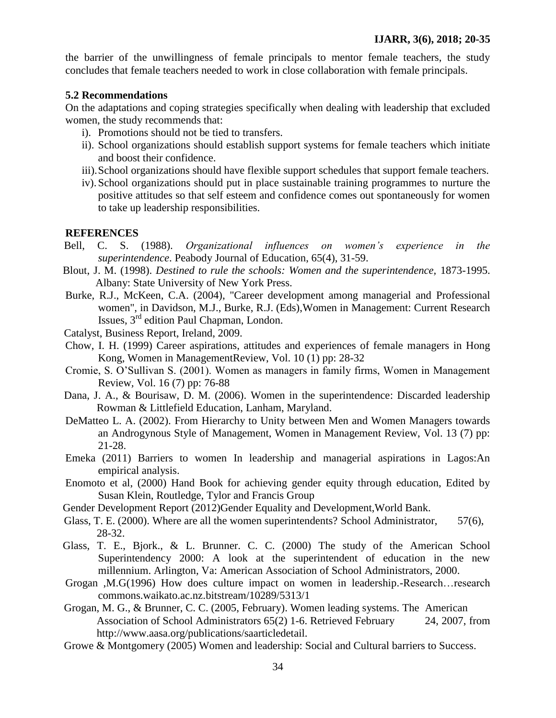the barrier of the unwillingness of female principals to mentor female teachers, the study concludes that female teachers needed to work in close collaboration with female principals.

#### **5.2 Recommendations**

On the adaptations and coping strategies specifically when dealing with leadership that excluded women, the study recommends that:

- i). Promotions should not be tied to transfers.
- ii). School organizations should establish support systems for female teachers which initiate and boost their confidence.
- iii).School organizations should have flexible support schedules that support female teachers.
- iv).School organizations should put in place sustainable training programmes to nurture the positive attitudes so that self esteem and confidence comes out spontaneously for women to take up leadership responsibilities.

#### **REFERENCES**

- Bell, C. S. (1988). *Organizational influences on women's experience in the superintendence*. Peabody Journal of Education, 65(4), 31-59.
- Blout, J. M. (1998). *Destined to rule the schools: Women and the superintendence,* 1873-1995. Albany: State University of New York Press.
- Burke, R.J., McKeen, C.A. (2004), "Career development among managerial and Professional women", in Davidson, M.J., Burke, R.J. (Eds),Women in Management: Current Research Issues, 3rd edition Paul Chapman, London.
- Catalyst, Business Report, Ireland, 2009.
- Chow, I. H. (1999) Career aspirations, attitudes and experiences of female managers in Hong Kong, Women in ManagementReview, Vol. 10 (1) pp: 28-32
- Cromie, S. O"Sullivan S. (2001). Women as managers in family firms, Women in Management Review*,* Vol. 16 (7) pp: 76-88
- Dana, J. A., & Bourisaw, D. M. (2006). Women in the superintendence: Discarded leadership Rowman & Littlefield Education, Lanham, Maryland.
- DeMatteo L. A. (2002). From Hierarchy to Unity between Men and Women Managers towards an Androgynous Style of Management, Women in Management Review, Vol. 13 (7) pp: 21-28.
- Emeka (2011) Barriers to women In leadership and managerial aspirations in Lagos:An empirical analysis.
- Enomoto et al, (2000) Hand Book for achieving gender equity through education, Edited by Susan Klein, Routledge, Tylor and Francis Group
- Gender Development Report (2012)Gender Equality and Development,World Bank.
- Glass, T. E. (2000). Where are all the women superintendents? School Administrator, 57(6), 28-32.
- Glass, T. E., Bjork., & L. Brunner. C. C. (2000) The study of the American School Superintendency 2000: A look at the superintendent of education in the new millennium. Arlington, Va: American Association of School Administrators, 2000.
- Grogan ,M.G(1996) How does culture impact on women in leadership.-Research…research commons.waikato.ac.nz.bitstream/10289/5313/1
- Grogan, M. G., & Brunner, C. C. (2005, February). Women leading systems. The American Association of School Administrators 65(2) 1-6. Retrieved February 24, 2007, from http://www.aasa.org/publications/saarticledetail.
- Growe & Montgomery (2005) Women and leadership: Social and Cultural barriers to Success.